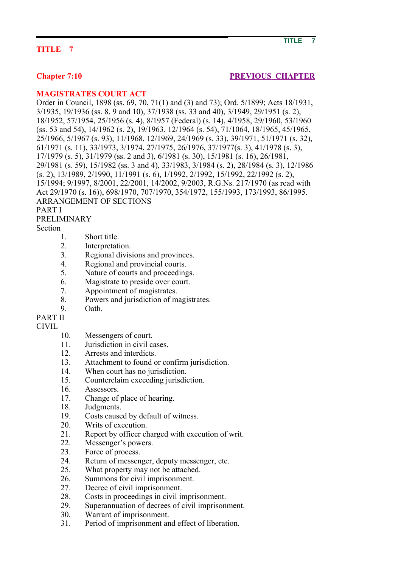## **TITLE 7**

## **Chapter 7:10 PREVIOUS CHAPTER**

#### **MAGISTRATES COURT ACT**

Order in Council, 1898 (ss. 69, 70, 71(1) and (3) and 73); Ord. 5/1899; Acts 18/1931, 3/1935, 19/1936 (ss. 8, 9 and 10), 37/1938 (ss. 33 and 40), 3/1949, 29/1951 (s. 2), 18/1952, 57/1954, 25/1956 (s. 4), 8/1957 (Federal) (s. 14), 4/1958, 29/1960, 53/1960 (ss. 53 and 54), 14/1962 (s. 2), 19/1963, 12/1964 (s. 54), 71/1064, 18/1965, 45/1965, 25/1966, 5/1967 (s. 93), 11/1968, 12/1969, 24/1969 (s. 33), 39/1971, 51/1971 (s. 32), 61/1971 (s. 11), 33/1973, 3/1974, 27/1975, 26/1976, 37/1977(s. 3), 41/1978 (s. 3), 17/1979 (s. 5), 31/1979 (ss. 2 and 3), 6/1981 (s. 30), 15/1981 (s. 16), 26/1981, 29/1981 (s. 59), 15/1982 (ss. 3 and 4), 33/1983, 3/1984 (s. 2), 28/1984 (s. 3), 12/1986 (s. 2), 13/1989, 2/1990, 11/1991 (s. 6), 1/1992, 2/1992, 15/1992, 22/1992 (s. 2), 15/1994; 9/1997, 8/2001, 22/2001, 14/2002, 9/2003, R.G.Ns. 217/1970 (as read with Act 29/1970 (s. 16)), 698/1970, 707/1970, 354/1972, 155/1993, 173/1993, 86/1995. ARRANGEMENT OF SECTIONS PART I

#### PRELIMINARY

Section

- 1. Short title.
- 2. Interpretation.
- 3. Regional divisions and provinces.
- 4. Regional and provincial courts.
- 5. Nature of courts and proceedings.
- 6. Magistrate to preside over court.
- 7. Appointment of magistrates.
- 8. Powers and jurisdiction of magistrates.
- 9. Oath.

# PART II

#### CIVIL

- 10. Messengers of court.
- 11. **Iurisdiction in civil cases**
- 12. Arrests and interdicts.
- 13. Attachment to found or confirm jurisdiction.
- 14. When court has no jurisdiction.
- 15. Counterclaim exceeding jurisdiction.
- 16. Assessors.
- 17. Change of place of hearing.
- 18. Judgments.
- 19. Costs caused by default of witness.
- 20. Writs of execution.
- 21. Report by officer charged with execution of writ.
- 22. Messenger's powers.
- 23. Force of process.
- 24. Return of messenger, deputy messenger, etc.
- 25. What property may not be attached.
- 26. Summons for civil imprisonment.
- 27. Decree of civil imprisonment.
- 28. Costs in proceedings in civil imprisonment.
- 29. Superannuation of decrees of civil imprisonment.
- 30. Warrant of imprisonment.
- 31. Period of imprisonment and effect of liberation.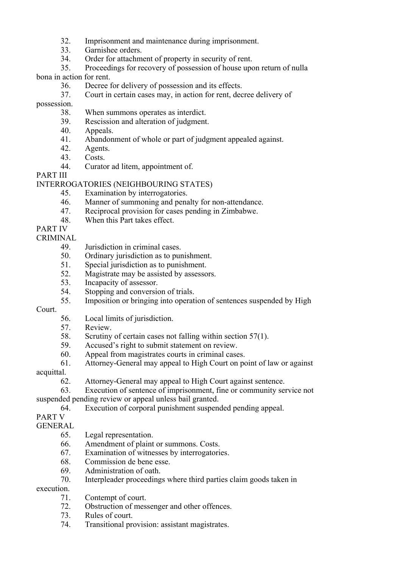- 32. Imprisonment and maintenance during imprisonment.
- 33. Garnishee orders.
- 34. Order for attachment of property in security of rent.
- 35. Proceedings for recovery of possession of house upon return of nulla

bona in action for rent.

- 36. Decree for delivery of possession and its effects.
- 37. Court in certain cases may, in action for rent, decree delivery of

possession.

- 38. When summons operates as interdict.
- 39. Rescission and alteration of judgment.
- 40. Appeals.
- 41. Abandonment of whole or part of judgment appealed against.
- 42. Agents.
- 43. Costs.
- 44. Curator ad litem, appointment of.

PART III

#### INTERROGATORIES (NEIGHBOURING STATES)

- 45. Examination by interrogatories.
- 46. Manner of summoning and penalty for non-attendance.
- 47. Reciprocal provision for cases pending in Zimbabwe.
- 48. When this Part takes effect.

## PART IV

CRIMINAL

- 49. Jurisdiction in criminal cases.
- 50. Ordinary jurisdiction as to punishment.
- 51. Special jurisdiction as to punishment.
- 52. Magistrate may be assisted by assessors.
- 53. Incapacity of assessor.
- 54. Stopping and conversion of trials.
- 55. Imposition or bringing into operation of sentences suspended by High

Court.

- 56. Local limits of jurisdiction.
- 57. Review.
- 58. Scrutiny of certain cases not falling within section 57(1).
- 59. Accused's right to submit statement on review.
- 60. Appeal from magistrates courts in criminal cases.
- 61. Attorney-General may appeal to High Court on point of law or against

acquittal.

62. Attorney-General may appeal to High Court against sentence.

 63. Execution of sentence of imprisonment, fine or community service not suspended pending review or appeal unless bail granted.

- 64. Execution of corporal punishment suspended pending appeal.
- PART V

#### **GENERAL**

- 65. Legal representation.
- 66. Amendment of plaint or summons. Costs.
- 67. Examination of witnesses by interrogatories.
- 68. Commission de bene esse.
- 69. Administration of oath.
- 70. Interpleader proceedings where third parties claim goods taken in

execution.

- 71. Contempt of court.
- 72. Obstruction of messenger and other offences.
- 73. Rules of court.
- 74. Transitional provision: assistant magistrates.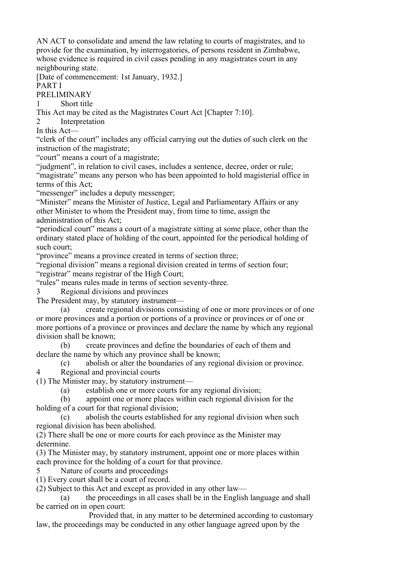AN ACT to consolidate and amend the law relating to courts of magistrates, and to provide for the examination, by interrogatories, of persons resident in Zimbabwe, whose evidence is required in civil cases pending in any magistrates court in any neighbouring state.

[Date of commencement: 1st January, 1932.]

PART I

PRELIMINARY

1 Short title

This Act may be cited as the Magistrates Court Act [Chapter 7:10].

2 Interpretation

In this Act—

"clerk of the court" includes any official carrying out the duties of such clerk on the instruction of the magistrate;

"court" means a court of a magistrate;

"judgment", in relation to civil cases, includes a sentence, decree, order or rule;

"magistrate" means any person who has been appointed to hold magisterial office in terms of this Act;

"messenger" includes a deputy messenger;

"Minister" means the Minister of Justice, Legal and Parliamentary Affairs or any other Minister to whom the President may, from time to time, assign the administration of this Act;

"periodical court" means a court of a magistrate sitting at some place, other than the ordinary stated place of holding of the court, appointed for the periodical holding of such court;

"province" means a province created in terms of section three;

"regional division" means a regional division created in terms of section four;

"registrar" means registrar of the High Court;

"rules" means rules made in terms of section seventy-three.

3 Regional divisions and provinces

The President may, by statutory instrument—

 (a) create regional divisions consisting of one or more provinces or of one or more provinces and a portion or portions of a province or provinces or of one or more portions of a province or provinces and declare the name by which any regional division shall be known;

 (b) create provinces and define the boundaries of each of them and declare the name by which any province shall be known;

 (c) abolish or alter the boundaries of any regional division or province. 4 Regional and provincial courts

(1) The Minister may, by statutory instrument—

(a) establish one or more courts for any regional division;

 (b) appoint one or more places within each regional division for the holding of a court for that regional division;

 (c) abolish the courts established for any regional division when such regional division has been abolished.

(2) There shall be one or more courts for each province as the Minister may determine.

(3) The Minister may, by statutory instrument, appoint one or more places within each province for the holding of a court for that province.

5 Nature of courts and proceedings

(1) Every court shall be a court of record.

(2) Subject to this Act and except as provided in any other law—

 (a) the proceedings in all cases shall be in the English language and shall be carried on in open court:

 Provided that, in any matter to be determined according to customary law, the proceedings may be conducted in any other language agreed upon by the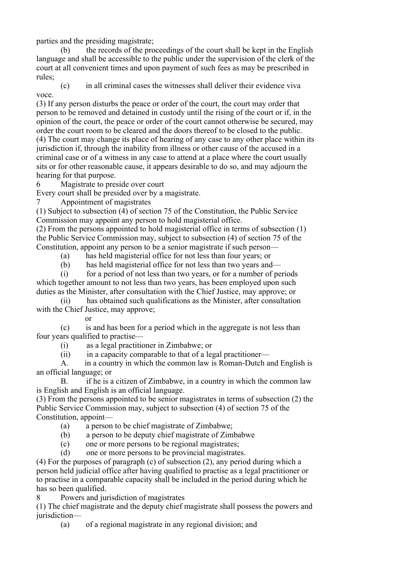parties and the presiding magistrate;

 (b) the records of the proceedings of the court shall be kept in the English language and shall be accessible to the public under the supervision of the clerk of the court at all convenient times and upon payment of such fees as may be prescribed in rules;

 (c) in all criminal cases the witnesses shall deliver their evidence viva voce.

(3) If any person disturbs the peace or order of the court, the court may order that person to be removed and detained in custody until the rising of the court or if, in the opinion of the court, the peace or order of the court cannot otherwise be secured, may order the court room to be cleared and the doors thereof to be closed to the public. (4) The court may change its place of hearing of any case to any other place within its jurisdiction if, through the inability from illness or other cause of the accused in a criminal case or of a witness in any case to attend at a place where the court usually sits or for other reasonable cause, it appears desirable to do so, and may adjourn the hearing for that purpose.

6 Magistrate to preside over court

Every court shall be presided over by a magistrate.

7 Appointment of magistrates

(1) Subject to subsection (4) of section 75 of the Constitution, the Public Service Commission may appoint any person to hold magisterial office.

(2) From the persons appointed to hold magisterial office in terms of subsection (1) the Public Service Commission may, subject to subsection (4) of section 75 of the Constitution, appoint any person to be a senior magistrate if such person—

(a) has held magisterial office for not less than four years; or

(b) has held magisterial office for not less than two years and—

 (i) for a period of not less than two years, or for a number of periods which together amount to not less than two years, has been employed upon such duties as the Minister, after consultation with the Chief Justice, may approve; or

 (ii) has obtained such qualifications as the Minister, after consultation with the Chief Justice, may approve:

or

 (c) is and has been for a period which in the aggregate is not less than four years qualified to practise—

(i) as a legal practitioner in Zimbabwe; or

 $(ii)$  in a capacity comparable to that of a legal practitioner—

 A. in a country in which the common law is Roman-Dutch and English is an official language; or

 B. if he is a citizen of Zimbabwe, in a country in which the common law is English and English is an official language.

(3) From the persons appointed to be senior magistrates in terms of subsection (2) the Public Service Commission may, subject to subsection (4) of section 75 of the Constitution, appoint—

(a) a person to be chief magistrate of Zimbabwe;

(b) a person to be deputy chief magistrate of Zimbabwe

(c) one or more persons to be regional magistrates;

(d) one or more persons to be provincial magistrates.

(4) For the purposes of paragraph (c) of subsection (2), any period during which a person held judicial office after having qualified to practise as a legal practitioner or to practise in a comparable capacity shall be included in the period during which he has so been qualified.

8 Powers and jurisdiction of magistrates

(1) The chief magistrate and the deputy chief magistrate shall possess the powers and jurisdiction—

(a) of a regional magistrate in any regional division; and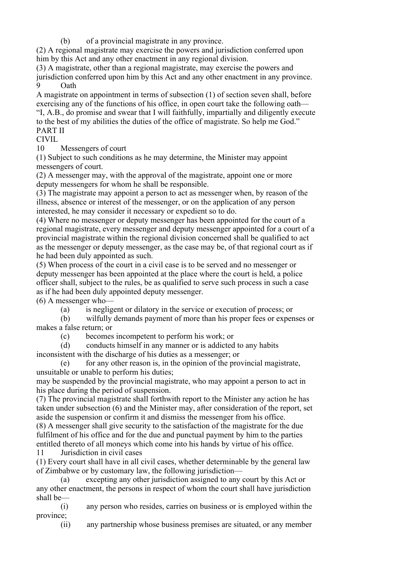(b) of a provincial magistrate in any province.

(2) A regional magistrate may exercise the powers and jurisdiction conferred upon him by this Act and any other enactment in any regional division.

(3) A magistrate, other than a regional magistrate, may exercise the powers and jurisdiction conferred upon him by this Act and any other enactment in any province. 9 Oath

A magistrate on appointment in terms of subsection (1) of section seven shall, before exercising any of the functions of his office, in open court take the following oath— "I, A.B., do promise and swear that I will faithfully, impartially and diligently execute to the best of my abilities the duties of the office of magistrate. So help me God." PART II

## CIVIL

10 Messengers of court

(1) Subject to such conditions as he may determine, the Minister may appoint messengers of court.

(2) A messenger may, with the approval of the magistrate, appoint one or more deputy messengers for whom he shall be responsible.

(3) The magistrate may appoint a person to act as messenger when, by reason of the illness, absence or interest of the messenger, or on the application of any person interested, he may consider it necessary or expedient so to do.

(4) Where no messenger or deputy messenger has been appointed for the court of a regional magistrate, every messenger and deputy messenger appointed for a court of a provincial magistrate within the regional division concerned shall be qualified to act as the messenger or deputy messenger, as the case may be, of that regional court as if he had been duly appointed as such.

(5) When process of the court in a civil case is to be served and no messenger or deputy messenger has been appointed at the place where the court is held, a police officer shall, subject to the rules, be as qualified to serve such process in such a case as if he had been duly appointed deputy messenger.

(6) A messenger who—

(a) is negligent or dilatory in the service or execution of process; or

 (b) wilfully demands payment of more than his proper fees or expenses or makes a false return; or

(c) becomes incompetent to perform his work; or

 (d) conducts himself in any manner or is addicted to any habits inconsistent with the discharge of his duties as a messenger; or

 (e) for any other reason is, in the opinion of the provincial magistrate, unsuitable or unable to perform his duties;

may be suspended by the provincial magistrate, who may appoint a person to act in his place during the period of suspension.

(7) The provincial magistrate shall forthwith report to the Minister any action he has taken under subsection (6) and the Minister may, after consideration of the report, set aside the suspension or confirm it and dismiss the messenger from his office.

(8) A messenger shall give security to the satisfaction of the magistrate for the due fulfilment of his office and for the due and punctual payment by him to the parties entitled thereto of all moneys which come into his hands by virtue of his office.

11 Jurisdiction in civil cases

(1) Every court shall have in all civil cases, whether determinable by the general law of Zimbabwe or by customary law, the following jurisdiction—

 (a) excepting any other jurisdiction assigned to any court by this Act or any other enactment, the persons in respect of whom the court shall have jurisdiction shall be—

 (i) any person who resides, carries on business or is employed within the province;

(ii) any partnership whose business premises are situated, or any member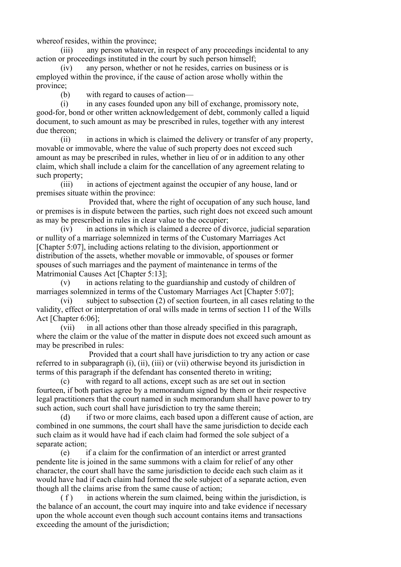whereof resides, within the province;

 (iii) any person whatever, in respect of any proceedings incidental to any action or proceedings instituted in the court by such person himself;

 (iv) any person, whether or not he resides, carries on business or is employed within the province, if the cause of action arose wholly within the province;

(b) with regard to causes of action—

 (i) in any cases founded upon any bill of exchange, promissory note, good-for, bond or other written acknowledgement of debt, commonly called a liquid document, to such amount as may be prescribed in rules, together with any interest due thereon;

 (ii) in actions in which is claimed the delivery or transfer of any property, movable or immovable, where the value of such property does not exceed such amount as may be prescribed in rules, whether in lieu of or in addition to any other claim, which shall include a claim for the cancellation of any agreement relating to such property;

 (iii) in actions of ejectment against the occupier of any house, land or premises situate within the province:

 Provided that, where the right of occupation of any such house, land or premises is in dispute between the parties, such right does not exceed such amount as may be prescribed in rules in clear value to the occupier;

 (iv) in actions in which is claimed a decree of divorce, judicial separation or nullity of a marriage solemnized in terms of the Customary Marriages Act [Chapter 5:07], including actions relating to the division, apportionment or distribution of the assets, whether movable or immovable, of spouses or former spouses of such marriages and the payment of maintenance in terms of the Matrimonial Causes Act [Chapter 5:13];

 (v) in actions relating to the guardianship and custody of children of marriages solemnized in terms of the Customary Marriages Act [Chapter 5:07];

 (vi) subject to subsection (2) of section fourteen, in all cases relating to the validity, effect or interpretation of oral wills made in terms of section 11 of the Wills Act [Chapter 6:06];

 (vii) in all actions other than those already specified in this paragraph, where the claim or the value of the matter in dispute does not exceed such amount as may be prescribed in rules:

 Provided that a court shall have jurisdiction to try any action or case referred to in subparagraph (i), (ii), (iii) or (vii) otherwise beyond its jurisdiction in terms of this paragraph if the defendant has consented thereto in writing;

 (c) with regard to all actions, except such as are set out in section fourteen, if both parties agree by a memorandum signed by them or their respective legal practitioners that the court named in such memorandum shall have power to try such action, such court shall have jurisdiction to try the same therein;

 (d) if two or more claims, each based upon a different cause of action, are combined in one summons, the court shall have the same jurisdiction to decide each such claim as it would have had if each claim had formed the sole subject of a separate action;

 (e) if a claim for the confirmation of an interdict or arrest granted pendente lite is joined in the same summons with a claim for relief of any other character, the court shall have the same jurisdiction to decide each such claim as it would have had if each claim had formed the sole subject of a separate action, even though all the claims arise from the same cause of action;

 $(f)$  in actions wherein the sum claimed, being within the jurisdiction, is the balance of an account, the court may inquire into and take evidence if necessary upon the whole account even though such account contains items and transactions exceeding the amount of the jurisdiction;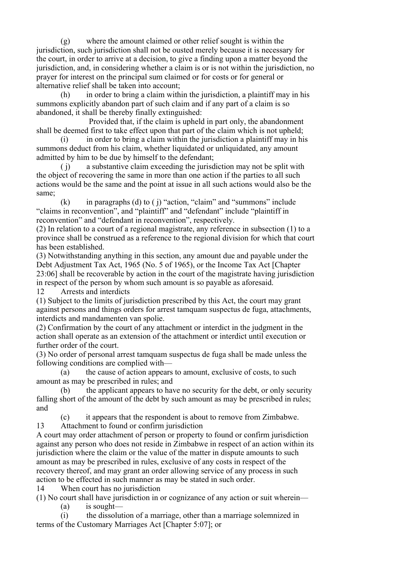(g) where the amount claimed or other relief sought is within the jurisdiction, such jurisdiction shall not be ousted merely because it is necessary for the court, in order to arrive at a decision, to give a finding upon a matter beyond the jurisdiction, and, in considering whether a claim is or is not within the jurisdiction, no prayer for interest on the principal sum claimed or for costs or for general or alternative relief shall be taken into account;

 (h) in order to bring a claim within the jurisdiction, a plaintiff may in his summons explicitly abandon part of such claim and if any part of a claim is so abandoned, it shall be thereby finally extinguished:

 Provided that, if the claim is upheld in part only, the abandonment shall be deemed first to take effect upon that part of the claim which is not upheld;

 $(i)$  in order to bring a claim within the jurisdiction a plaintiff may in his summons deduct from his claim, whether liquidated or unliquidated, any amount admitted by him to be due by himself to the defendant;

 ( j) a substantive claim exceeding the jurisdiction may not be split with the object of recovering the same in more than one action if the parties to all such actions would be the same and the point at issue in all such actions would also be the same;

 $(k)$  in paragraphs (d) to ( j) "action, "claim" and "summons" include "claims in reconvention", and "plaintiff" and "defendant" include "plaintiff in reconvention" and "defendant in reconvention", respectively.

(2) In relation to a court of a regional magistrate, any reference in subsection (1) to a province shall be construed as a reference to the regional division for which that court has been established.

(3) Notwithstanding anything in this section, any amount due and payable under the Debt Adjustment Tax Act, 1965 (No. 5 of 1965), or the Income Tax Act [Chapter 23:06] shall be recoverable by action in the court of the magistrate having jurisdiction in respect of the person by whom such amount is so payable as aforesaid.

12 Arrests and interdicts

(1) Subject to the limits of jurisdiction prescribed by this Act, the court may grant against persons and things orders for arrest tamquam suspectus de fuga, attachments, interdicts and mandamenten van spolie.

(2) Confirmation by the court of any attachment or interdict in the judgment in the action shall operate as an extension of the attachment or interdict until execution or further order of the court.

(3) No order of personal arrest tamquam suspectus de fuga shall be made unless the following conditions are complied with—

 (a) the cause of action appears to amount, exclusive of costs, to such amount as may be prescribed in rules; and

 (b) the applicant appears to have no security for the debt, or only security falling short of the amount of the debt by such amount as may be prescribed in rules; and

 (c) it appears that the respondent is about to remove from Zimbabwe. 13 Attachment to found or confirm jurisdiction

A court may order attachment of person or property to found or confirm jurisdiction against any person who does not reside in Zimbabwe in respect of an action within its jurisdiction where the claim or the value of the matter in dispute amounts to such amount as may be prescribed in rules, exclusive of any costs in respect of the recovery thereof, and may grant an order allowing service of any process in such action to be effected in such manner as may be stated in such order.

14 When court has no jurisdiction

(1) No court shall have jurisdiction in or cognizance of any action or suit wherein—

(a) is sought—

 (i) the dissolution of a marriage, other than a marriage solemnized in terms of the Customary Marriages Act [Chapter 5:07]; or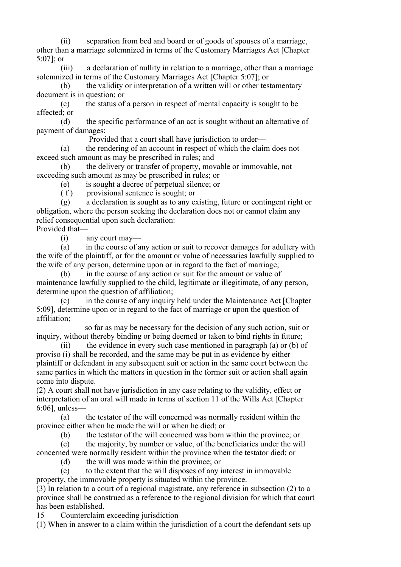(ii) separation from bed and board or of goods of spouses of a marriage, other than a marriage solemnized in terms of the Customary Marriages Act [Chapter 5:07]; or

 (iii) a declaration of nullity in relation to a marriage, other than a marriage solemnized in terms of the Customary Marriages Act [Chapter 5:07]; or

(b) the validity or interpretation of a written will or other testamentary document is in question; or

 (c) the status of a person in respect of mental capacity is sought to be affected; or

 (d) the specific performance of an act is sought without an alternative of payment of damages:

Provided that a court shall have jurisdiction to order—

 (a) the rendering of an account in respect of which the claim does not exceed such amount as may be prescribed in rules; and

 (b) the delivery or transfer of property, movable or immovable, not exceeding such amount as may be prescribed in rules; or

(e) is sought a decree of perpetual silence; or

( f ) provisional sentence is sought; or

 (g) a declaration is sought as to any existing, future or contingent right or obligation, where the person seeking the declaration does not or cannot claim any relief consequential upon such declaration:

Provided that—

(i) any court may—

 (a) in the course of any action or suit to recover damages for adultery with the wife of the plaintiff, or for the amount or value of necessaries lawfully supplied to the wife of any person, determine upon or in regard to the fact of marriage;

 (b) in the course of any action or suit for the amount or value of maintenance lawfully supplied to the child, legitimate or illegitimate, of any person, determine upon the question of affiliation;

 (c) in the course of any inquiry held under the Maintenance Act [Chapter 5:09], determine upon or in regard to the fact of marriage or upon the question of affiliation;

 so far as may be necessary for the decision of any such action, suit or inquiry, without thereby binding or being deemed or taken to bind rights in future;

 (ii) the evidence in every such case mentioned in paragraph (a) or (b) of proviso (i) shall be recorded, and the same may be put in as evidence by either plaintiff or defendant in any subsequent suit or action in the same court between the same parties in which the matters in question in the former suit or action shall again come into dispute.

(2) A court shall not have jurisdiction in any case relating to the validity, effect or interpretation of an oral will made in terms of section 11 of the Wills Act [Chapter 6:06], unless—

 (a) the testator of the will concerned was normally resident within the province either when he made the will or when he died; or

(b) the testator of the will concerned was born within the province; or

 (c) the majority, by number or value, of the beneficiaries under the will concerned were normally resident within the province when the testator died; or

(d) the will was made within the province; or

 (e) to the extent that the will disposes of any interest in immovable property, the immovable property is situated within the province.

(3) In relation to a court of a regional magistrate, any reference in subsection (2) to a province shall be construed as a reference to the regional division for which that court has been established.

15 Counterclaim exceeding jurisdiction

(1) When in answer to a claim within the jurisdiction of a court the defendant sets up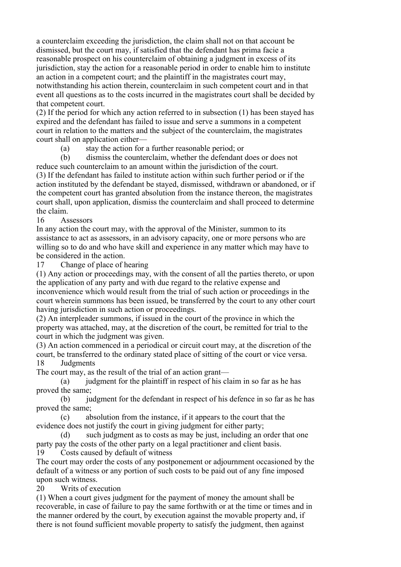a counterclaim exceeding the jurisdiction, the claim shall not on that account be dismissed, but the court may, if satisfied that the defendant has prima facie a reasonable prospect on his counterclaim of obtaining a judgment in excess of its jurisdiction, stay the action for a reasonable period in order to enable him to institute an action in a competent court; and the plaintiff in the magistrates court may, notwithstanding his action therein, counterclaim in such competent court and in that event all questions as to the costs incurred in the magistrates court shall be decided by that competent court.

(2) If the period for which any action referred to in subsection (1) has been stayed has expired and the defendant has failed to issue and serve a summons in a competent court in relation to the matters and the subject of the counterclaim, the magistrates court shall on application either—

(a) stay the action for a further reasonable period; or

 (b) dismiss the counterclaim, whether the defendant does or does not reduce such counterclaim to an amount within the jurisdiction of the court. (3) If the defendant has failed to institute action within such further period or if the action instituted by the defendant be stayed, dismissed, withdrawn or abandoned, or if the competent court has granted absolution from the instance thereon, the magistrates court shall, upon application, dismiss the counterclaim and shall proceed to determine the claim.

16 Assessors

In any action the court may, with the approval of the Minister, summon to its assistance to act as assessors, in an advisory capacity, one or more persons who are willing so to do and who have skill and experience in any matter which may have to be considered in the action.

17 Change of place of hearing

(1) Any action or proceedings may, with the consent of all the parties thereto, or upon the application of any party and with due regard to the relative expense and inconvenience which would result from the trial of such action or proceedings in the court wherein summons has been issued, be transferred by the court to any other court having jurisdiction in such action or proceedings.

(2) An interpleader summons, if issued in the court of the province in which the property was attached, may, at the discretion of the court, be remitted for trial to the court in which the judgment was given.

(3) An action commenced in a periodical or circuit court may, at the discretion of the court, be transferred to the ordinary stated place of sitting of the court or vice versa. 18 Judgments

The court may, as the result of the trial of an action grant—

(a) judgment for the plaintiff in respect of his claim in so far as he has proved the same;

 (b) judgment for the defendant in respect of his defence in so far as he has proved the same;

 (c) absolution from the instance, if it appears to the court that the evidence does not justify the court in giving judgment for either party;

 (d) such judgment as to costs as may be just, including an order that one party pay the costs of the other party on a legal practitioner and client basis. 19 Costs caused by default of witness

The court may order the costs of any postponement or adjournment occasioned by the default of a witness or any portion of such costs to be paid out of any fine imposed upon such witness.

20 Writs of execution

(1) When a court gives judgment for the payment of money the amount shall be recoverable, in case of failure to pay the same forthwith or at the time or times and in the manner ordered by the court, by execution against the movable property and, if there is not found sufficient movable property to satisfy the judgment, then against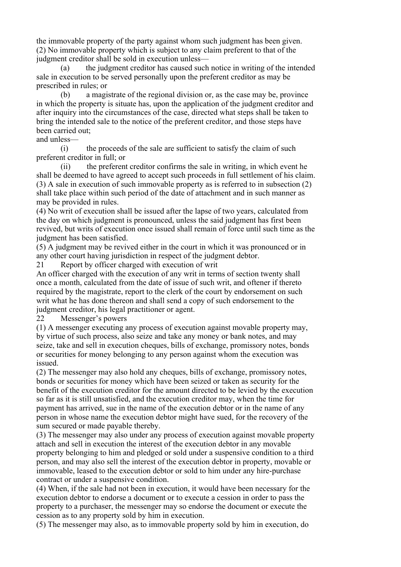the immovable property of the party against whom such judgment has been given. (2) No immovable property which is subject to any claim preferent to that of the judgment creditor shall be sold in execution unless—

 (a) the judgment creditor has caused such notice in writing of the intended sale in execution to be served personally upon the preferent creditor as may be prescribed in rules; or

 (b) a magistrate of the regional division or, as the case may be, province in which the property is situate has, upon the application of the judgment creditor and after inquiry into the circumstances of the case, directed what steps shall be taken to bring the intended sale to the notice of the preferent creditor, and those steps have been carried out:

#### and unless—

 (i) the proceeds of the sale are sufficient to satisfy the claim of such preferent creditor in full; or

 (ii) the preferent creditor confirms the sale in writing, in which event he shall be deemed to have agreed to accept such proceeds in full settlement of his claim. (3) A sale in execution of such immovable property as is referred to in subsection (2) shall take place within such period of the date of attachment and in such manner as may be provided in rules.

(4) No writ of execution shall be issued after the lapse of two years, calculated from the day on which judgment is pronounced, unless the said judgment has first been revived, but writs of execution once issued shall remain of force until such time as the judgment has been satisfied.

(5) A judgment may be revived either in the court in which it was pronounced or in any other court having jurisdiction in respect of the judgment debtor.

21 Report by officer charged with execution of writ

An officer charged with the execution of any writ in terms of section twenty shall once a month, calculated from the date of issue of such writ, and oftener if thereto required by the magistrate, report to the clerk of the court by endorsement on such writ what he has done thereon and shall send a copy of such endorsement to the judgment creditor, his legal practitioner or agent.

22 Messenger's powers

(1) A messenger executing any process of execution against movable property may, by virtue of such process, also seize and take any money or bank notes, and may seize, take and sell in execution cheques, bills of exchange, promissory notes, bonds or securities for money belonging to any person against whom the execution was issued.

(2) The messenger may also hold any cheques, bills of exchange, promissory notes, bonds or securities for money which have been seized or taken as security for the benefit of the execution creditor for the amount directed to be levied by the execution so far as it is still unsatisfied, and the execution creditor may, when the time for payment has arrived, sue in the name of the execution debtor or in the name of any person in whose name the execution debtor might have sued, for the recovery of the sum secured or made payable thereby.

(3) The messenger may also under any process of execution against movable property attach and sell in execution the interest of the execution debtor in any movable property belonging to him and pledged or sold under a suspensive condition to a third person, and may also sell the interest of the execution debtor in property, movable or immovable, leased to the execution debtor or sold to him under any hire-purchase contract or under a suspensive condition.

(4) When, if the sale had not been in execution, it would have been necessary for the execution debtor to endorse a document or to execute a cession in order to pass the property to a purchaser, the messenger may so endorse the document or execute the cession as to any property sold by him in execution.

(5) The messenger may also, as to immovable property sold by him in execution, do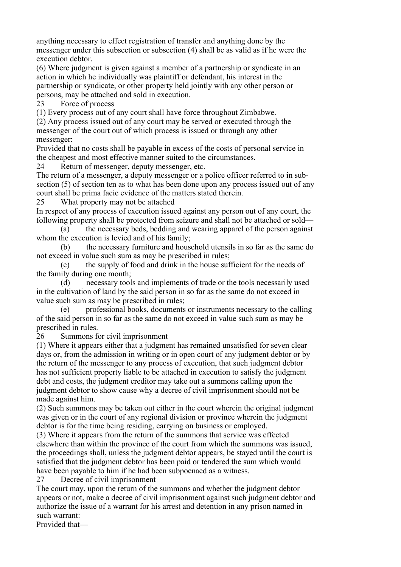anything necessary to effect registration of transfer and anything done by the messenger under this subsection or subsection (4) shall be as valid as if he were the execution debtor.

(6) Where judgment is given against a member of a partnership or syndicate in an action in which he individually was plaintiff or defendant, his interest in the partnership or syndicate, or other property held jointly with any other person or persons, may be attached and sold in execution.

23 Force of process

(1) Every process out of any court shall have force throughout Zimbabwe.

(2) Any process issued out of any court may be served or executed through the messenger of the court out of which process is issued or through any other messenger:

Provided that no costs shall be payable in excess of the costs of personal service in the cheapest and most effective manner suited to the circumstances.

24 Return of messenger, deputy messenger, etc.

The return of a messenger, a deputy messenger or a police officer referred to in subsection (5) of section ten as to what has been done upon any process issued out of any court shall be prima facie evidence of the matters stated therein.

25 What property may not be attached

In respect of any process of execution issued against any person out of any court, the following property shall be protected from seizure and shall not be attached or sold—

 (a) the necessary beds, bedding and wearing apparel of the person against whom the execution is levied and of his family;

 (b) the necessary furniture and household utensils in so far as the same do not exceed in value such sum as may be prescribed in rules;

 (c) the supply of food and drink in the house sufficient for the needs of the family during one month;

 (d) necessary tools and implements of trade or the tools necessarily used in the cultivation of land by the said person in so far as the same do not exceed in value such sum as may be prescribed in rules;

 (e) professional books, documents or instruments necessary to the calling of the said person in so far as the same do not exceed in value such sum as may be prescribed in rules.

26 Summons for civil imprisonment

(1) Where it appears either that a judgment has remained unsatisfied for seven clear days or, from the admission in writing or in open court of any judgment debtor or by the return of the messenger to any process of execution, that such judgment debtor has not sufficient property liable to be attached in execution to satisfy the judgment debt and costs, the judgment creditor may take out a summons calling upon the judgment debtor to show cause why a decree of civil imprisonment should not be made against him.

(2) Such summons may be taken out either in the court wherein the original judgment was given or in the court of any regional division or province wherein the judgment debtor is for the time being residing, carrying on business or employed.

(3) Where it appears from the return of the summons that service was effected elsewhere than within the province of the court from which the summons was issued, the proceedings shall, unless the judgment debtor appears, be stayed until the court is satisfied that the judgment debtor has been paid or tendered the sum which would have been payable to him if he had been subpoenaed as a witness.

27 Decree of civil imprisonment

The court may, upon the return of the summons and whether the judgment debtor appears or not, make a decree of civil imprisonment against such judgment debtor and authorize the issue of a warrant for his arrest and detention in any prison named in such warrant:

Provided that—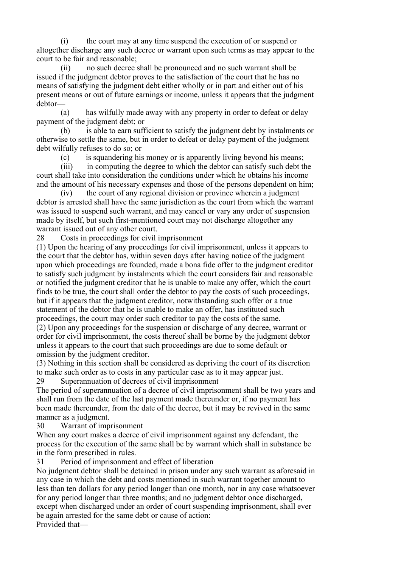(i) the court may at any time suspend the execution of or suspend or altogether discharge any such decree or warrant upon such terms as may appear to the court to be fair and reasonable;

 (ii) no such decree shall be pronounced and no such warrant shall be issued if the judgment debtor proves to the satisfaction of the court that he has no means of satisfying the judgment debt either wholly or in part and either out of his present means or out of future earnings or income, unless it appears that the judgment debtor—

 (a) has wilfully made away with any property in order to defeat or delay payment of the judgment debt; or

 (b) is able to earn sufficient to satisfy the judgment debt by instalments or otherwise to settle the same, but in order to defeat or delay payment of the judgment debt wilfully refuses to do so; or

(c) is squandering his money or is apparently living beyond his means;

 (iii) in computing the degree to which the debtor can satisfy such debt the court shall take into consideration the conditions under which he obtains his income and the amount of his necessary expenses and those of the persons dependent on him;

 (iv) the court of any regional division or province wherein a judgment debtor is arrested shall have the same jurisdiction as the court from which the warrant was issued to suspend such warrant, and may cancel or vary any order of suspension made by itself, but such first-mentioned court may not discharge altogether any warrant issued out of any other court.

28 Costs in proceedings for civil imprisonment

(1) Upon the hearing of any proceedings for civil imprisonment, unless it appears to the court that the debtor has, within seven days after having notice of the judgment upon which proceedings are founded, made a bona fide offer to the judgment creditor to satisfy such judgment by instalments which the court considers fair and reasonable or notified the judgment creditor that he is unable to make any offer, which the court finds to be true, the court shall order the debtor to pay the costs of such proceedings, but if it appears that the judgment creditor, notwithstanding such offer or a true statement of the debtor that he is unable to make an offer, has instituted such proceedings, the court may order such creditor to pay the costs of the same. (2) Upon any proceedings for the suspension or discharge of any decree, warrant or

order for civil imprisonment, the costs thereof shall be borne by the judgment debtor unless it appears to the court that such proceedings are due to some default or omission by the judgment creditor.

(3) Nothing in this section shall be considered as depriving the court of its discretion to make such order as to costs in any particular case as to it may appear just.

29 Superannuation of decrees of civil imprisonment

The period of superannuation of a decree of civil imprisonment shall be two years and shall run from the date of the last payment made thereunder or, if no payment has been made thereunder, from the date of the decree, but it may be revived in the same manner as a judgment.

30 Warrant of imprisonment

When any court makes a decree of civil imprisonment against any defendant, the process for the execution of the same shall be by warrant which shall in substance be in the form prescribed in rules.

31 Period of imprisonment and effect of liberation

No judgment debtor shall be detained in prison under any such warrant as aforesaid in any case in which the debt and costs mentioned in such warrant together amount to less than ten dollars for any period longer than one month, nor in any case whatsoever for any period longer than three months; and no judgment debtor once discharged, except when discharged under an order of court suspending imprisonment, shall ever be again arrested for the same debt or cause of action:

Provided that—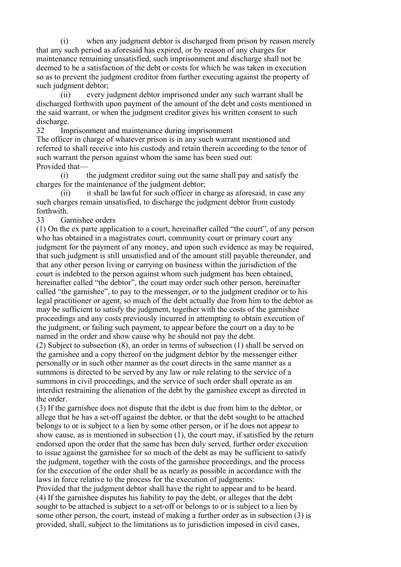(i) when any judgment debtor is discharged from prison by reason merely that any such period as aforesaid has expired, or by reason of any charges for maintenance remaining unsatisfied, such imprisonment and discharge shall not be deemed to be a satisfaction of the debt or costs for which he was taken in execution so as to prevent the judgment creditor from further executing against the property of such judgment debtor;

 (ii) every judgment debtor imprisoned under any such warrant shall be discharged forthwith upon payment of the amount of the debt and costs mentioned in the said warrant, or when the judgment creditor gives his written consent to such discharge.

32 Imprisonment and maintenance during imprisonment

The officer in charge of whatever prison is in any such warrant mentioned and referred to shall receive into his custody and retain therein according to the tenor of such warrant the person against whom the same has been sued out: Provided that—

 (i) the judgment creditor suing out the same shall pay and satisfy the charges for the maintenance of the judgment debtor;

 (ii) it shall be lawful for such officer in charge as aforesaid, in case any such charges remain unsatisfied, to discharge the judgment debtor from custody forthwith.

33 Garnishee orders

(1) On the ex parte application to a court, hereinafter called "the court", of any person who has obtained in a magistrates court, community court or primary court any judgment for the payment of any money, and upon such evidence as may be required, that such judgment is still unsatisfied and of the amount still payable thereunder, and that any other person living or carrying on business within the jurisdiction of the court is indebted to the person against whom such judgment has been obtained, hereinafter called "the debtor", the court may order such other person, hereinafter called "the garnishee", to pay to the messenger, or to the judgment creditor or to his legal practitioner or agent, so much of the debt actually due from him to the debtor as may be sufficient to satisfy the judgment, together with the costs of the garnishee proceedings and any costs previously incurred in attempting to obtain execution of the judgment, or failing such payment, to appear before the court on a day to be named in the order and show cause why he should not pay the debt.

(2) Subject to subsection (8), an order in terms of subsection (1) shall be served on the garnishee and a copy thereof on the judgment debtor by the messenger either personally or in such other manner as the court directs in the same manner as a summons is directed to be served by any law or rule relating to the service of a summons in civil proceedings, and the service of such order shall operate as an interdict restraining the alienation of the debt by the garnishee except as directed in the order.

(3) If the garnishee does not dispute that the debt is due from him to the debtor, or allege that he has a set-off against the debtor, or that the debt sought to be attached belongs to or is subject to a lien by some other person, or if he does not appear to show cause, as is mentioned in subsection (1), the court may, if satisfied by the return endorsed upon the order that the same has been duly served, further order execution to issue against the garnishee for so much of the debt as may be sufficient to satisfy the judgment, together with the costs of the garnishee proceedings, and the process for the execution of the order shall be as nearly as possible in accordance with the laws in force relative to the process for the execution of judgments:

Provided that the judgment debtor shall have the right to appear and to be heard. (4) If the garnishee disputes his liability to pay the debt, or alleges that the debt sought to be attached is subject to a set-off or belongs to or is subject to a lien by some other person, the court, instead of making a further order as in subsection (3) is provided, shall, subject to the limitations as to jurisdiction imposed in civil cases,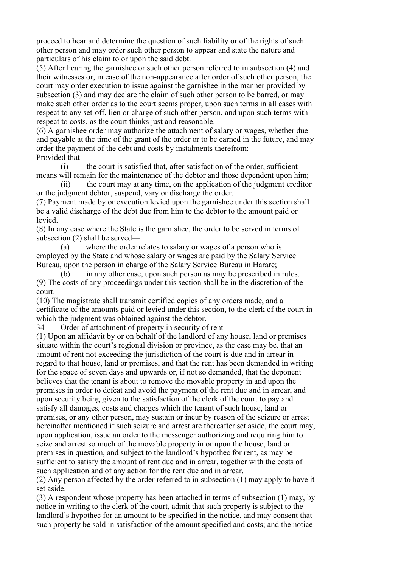proceed to hear and determine the question of such liability or of the rights of such other person and may order such other person to appear and state the nature and particulars of his claim to or upon the said debt.

(5) After hearing the garnishee or such other person referred to in subsection (4) and their witnesses or, in case of the non-appearance after order of such other person, the court may order execution to issue against the garnishee in the manner provided by subsection (3) and may declare the claim of such other person to be barred, or may make such other order as to the court seems proper, upon such terms in all cases with respect to any set-off, lien or charge of such other person, and upon such terms with respect to costs, as the court thinks just and reasonable.

(6) A garnishee order may authorize the attachment of salary or wages, whether due and payable at the time of the grant of the order or to be earned in the future, and may order the payment of the debt and costs by instalments therefrom: Provided that—

 (i) the court is satisfied that, after satisfaction of the order, sufficient means will remain for the maintenance of the debtor and those dependent upon him;

 (ii) the court may at any time, on the application of the judgment creditor or the judgment debtor, suspend, vary or discharge the order.

(7) Payment made by or execution levied upon the garnishee under this section shall be a valid discharge of the debt due from him to the debtor to the amount paid or levied.

(8) In any case where the State is the garnishee, the order to be served in terms of subsection (2) shall be served—

 (a) where the order relates to salary or wages of a person who is employed by the State and whose salary or wages are paid by the Salary Service Bureau, upon the person in charge of the Salary Service Bureau in Harare;

 (b) in any other case, upon such person as may be prescribed in rules. (9) The costs of any proceedings under this section shall be in the discretion of the court.

(10) The magistrate shall transmit certified copies of any orders made, and a certificate of the amounts paid or levied under this section, to the clerk of the court in which the judgment was obtained against the debtor.

34 Order of attachment of property in security of rent

(1) Upon an affidavit by or on behalf of the landlord of any house, land or premises situate within the court's regional division or province, as the case may be, that an amount of rent not exceeding the jurisdiction of the court is due and in arrear in regard to that house, land or premises, and that the rent has been demanded in writing for the space of seven days and upwards or, if not so demanded, that the deponent believes that the tenant is about to remove the movable property in and upon the premises in order to defeat and avoid the payment of the rent due and in arrear, and upon security being given to the satisfaction of the clerk of the court to pay and satisfy all damages, costs and charges which the tenant of such house, land or premises, or any other person, may sustain or incur by reason of the seizure or arrest hereinafter mentioned if such seizure and arrest are thereafter set aside, the court may, upon application, issue an order to the messenger authorizing and requiring him to seize and arrest so much of the movable property in or upon the house, land or premises in question, and subject to the landlord's hypothec for rent, as may be sufficient to satisfy the amount of rent due and in arrear, together with the costs of such application and of any action for the rent due and in arrear.

(2) Any person affected by the order referred to in subsection (1) may apply to have it set aside.

(3) A respondent whose property has been attached in terms of subsection (1) may, by notice in writing to the clerk of the court, admit that such property is subject to the landlord's hypothec for an amount to be specified in the notice, and may consent that such property be sold in satisfaction of the amount specified and costs; and the notice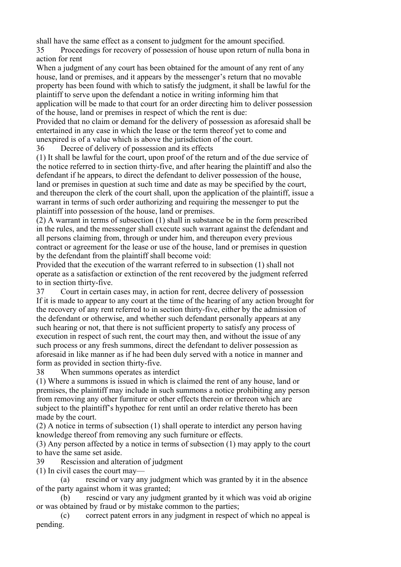shall have the same effect as a consent to judgment for the amount specified.

35 Proceedings for recovery of possession of house upon return of nulla bona in action for rent

When a judgment of any court has been obtained for the amount of any rent of any house, land or premises, and it appears by the messenger's return that no movable property has been found with which to satisfy the judgment, it shall be lawful for the plaintiff to serve upon the defendant a notice in writing informing him that application will be made to that court for an order directing him to deliver possession of the house, land or premises in respect of which the rent is due:

Provided that no claim or demand for the delivery of possession as aforesaid shall be entertained in any case in which the lease or the term thereof yet to come and unexpired is of a value which is above the jurisdiction of the court.

36 Decree of delivery of possession and its effects

(1) It shall be lawful for the court, upon proof of the return and of the due service of the notice referred to in section thirty-five, and after hearing the plaintiff and also the defendant if he appears, to direct the defendant to deliver possession of the house, land or premises in question at such time and date as may be specified by the court, and thereupon the clerk of the court shall, upon the application of the plaintiff, issue a warrant in terms of such order authorizing and requiring the messenger to put the plaintiff into possession of the house, land or premises.

(2) A warrant in terms of subsection (1) shall in substance be in the form prescribed in the rules, and the messenger shall execute such warrant against the defendant and all persons claiming from, through or under him, and thereupon every previous contract or agreement for the lease or use of the house, land or premises in question by the defendant from the plaintiff shall become void:

Provided that the execution of the warrant referred to in subsection (1) shall not operate as a satisfaction or extinction of the rent recovered by the judgment referred to in section thirty-five.

37 Court in certain cases may, in action for rent, decree delivery of possession If it is made to appear to any court at the time of the hearing of any action brought for the recovery of any rent referred to in section thirty-five, either by the admission of the defendant or otherwise, and whether such defendant personally appears at any such hearing or not, that there is not sufficient property to satisfy any process of execution in respect of such rent, the court may then, and without the issue of any such process or any fresh summons, direct the defendant to deliver possession as aforesaid in like manner as if he had been duly served with a notice in manner and form as provided in section thirty-five.

38 When summons operates as interdict

(1) Where a summons is issued in which is claimed the rent of any house, land or premises, the plaintiff may include in such summons a notice prohibiting any person from removing any other furniture or other effects therein or thereon which are subject to the plaintiff's hypothec for rent until an order relative thereto has been made by the court.

(2) A notice in terms of subsection (1) shall operate to interdict any person having knowledge thereof from removing any such furniture or effects.

(3) Any person affected by a notice in terms of subsection (1) may apply to the court to have the same set aside.

39 Rescission and alteration of judgment

(1) In civil cases the court may—

 (a) rescind or vary any judgment which was granted by it in the absence of the party against whom it was granted;

 (b) rescind or vary any judgment granted by it which was void ab origine or was obtained by fraud or by mistake common to the parties;

 (c) correct patent errors in any judgment in respect of which no appeal is pending.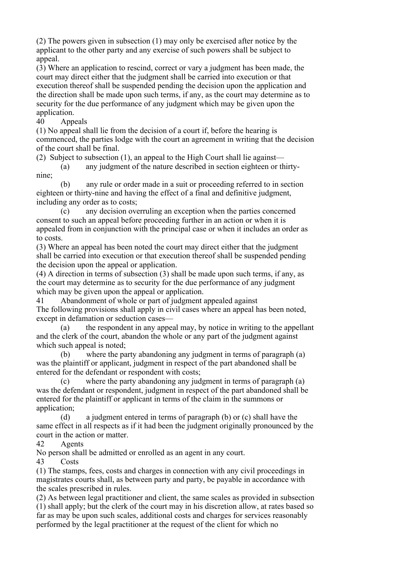(2) The powers given in subsection (1) may only be exercised after notice by the applicant to the other party and any exercise of such powers shall be subject to appeal.

(3) Where an application to rescind, correct or vary a judgment has been made, the court may direct either that the judgment shall be carried into execution or that execution thereof shall be suspended pending the decision upon the application and the direction shall be made upon such terms, if any, as the court may determine as to security for the due performance of any judgment which may be given upon the application.

40 Appeals

(1) No appeal shall lie from the decision of a court if, before the hearing is commenced, the parties lodge with the court an agreement in writing that the decision of the court shall be final.

(2) Subject to subsection (1), an appeal to the High Court shall lie against—

 (a) any judgment of the nature described in section eighteen or thirtynine;

 (b) any rule or order made in a suit or proceeding referred to in section eighteen or thirty-nine and having the effect of a final and definitive judgment, including any order as to costs;

 (c) any decision overruling an exception when the parties concerned consent to such an appeal before proceeding further in an action or when it is appealed from in conjunction with the principal case or when it includes an order as to costs.

(3) Where an appeal has been noted the court may direct either that the judgment shall be carried into execution or that execution thereof shall be suspended pending the decision upon the appeal or application.

(4) A direction in terms of subsection (3) shall be made upon such terms, if any, as the court may determine as to security for the due performance of any judgment which may be given upon the appeal or application.

41 Abandonment of whole or part of judgment appealed against The following provisions shall apply in civil cases where an appeal has been noted. except in defamation or seduction cases—

 (a) the respondent in any appeal may, by notice in writing to the appellant and the clerk of the court, abandon the whole or any part of the judgment against which such appeal is noted;

 (b) where the party abandoning any judgment in terms of paragraph (a) was the plaintiff or applicant, judgment in respect of the part abandoned shall be entered for the defendant or respondent with costs;

 (c) where the party abandoning any judgment in terms of paragraph (a) was the defendant or respondent, judgment in respect of the part abandoned shall be entered for the plaintiff or applicant in terms of the claim in the summons or application;

 (d) a judgment entered in terms of paragraph (b) or (c) shall have the same effect in all respects as if it had been the judgment originally pronounced by the court in the action or matter.

42 Agents

No person shall be admitted or enrolled as an agent in any court.

43 Costs

(1) The stamps, fees, costs and charges in connection with any civil proceedings in magistrates courts shall, as between party and party, be payable in accordance with the scales prescribed in rules.

(2) As between legal practitioner and client, the same scales as provided in subsection (1) shall apply; but the clerk of the court may in his discretion allow, at rates based so far as may be upon such scales, additional costs and charges for services reasonably performed by the legal practitioner at the request of the client for which no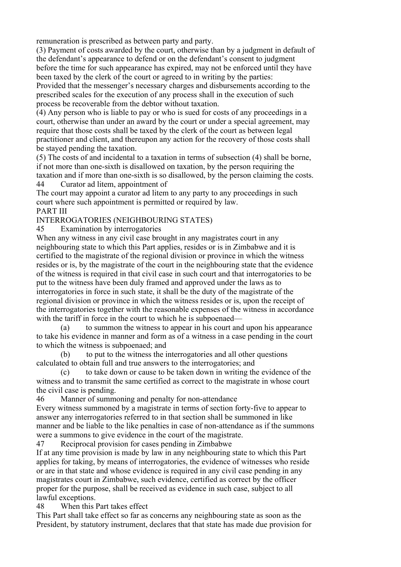remuneration is prescribed as between party and party.

(3) Payment of costs awarded by the court, otherwise than by a judgment in default of the defendant's appearance to defend or on the defendant's consent to judgment before the time for such appearance has expired, may not be enforced until they have been taxed by the clerk of the court or agreed to in writing by the parties:

Provided that the messenger's necessary charges and disbursements according to the prescribed scales for the execution of any process shall in the execution of such process be recoverable from the debtor without taxation.

(4) Any person who is liable to pay or who is sued for costs of any proceedings in a court, otherwise than under an award by the court or under a special agreement, may require that those costs shall be taxed by the clerk of the court as between legal practitioner and client, and thereupon any action for the recovery of those costs shall be stayed pending the taxation.

(5) The costs of and incidental to a taxation in terms of subsection (4) shall be borne, if not more than one-sixth is disallowed on taxation, by the person requiring the taxation and if more than one-sixth is so disallowed, by the person claiming the costs. 44 Curator ad litem, appointment of

The court may appoint a curator ad litem to any party to any proceedings in such court where such appointment is permitted or required by law. PART III

#### INTERROGATORIES (NEIGHBOURING STATES)

45 Examination by interrogatories

When any witness in any civil case brought in any magistrates court in any neighbouring state to which this Part applies, resides or is in Zimbabwe and it is certified to the magistrate of the regional division or province in which the witness resides or is, by the magistrate of the court in the neighbouring state that the evidence of the witness is required in that civil case in such court and that interrogatories to be put to the witness have been duly framed and approved under the laws as to interrogatories in force in such state, it shall be the duty of the magistrate of the regional division or province in which the witness resides or is, upon the receipt of the interrogatories together with the reasonable expenses of the witness in accordance with the tariff in force in the court to which he is subpoenaed—

 (a) to summon the witness to appear in his court and upon his appearance to take his evidence in manner and form as of a witness in a case pending in the court to which the witness is subpoenaed; and

 (b) to put to the witness the interrogatories and all other questions calculated to obtain full and true answers to the interrogatories; and

 (c) to take down or cause to be taken down in writing the evidence of the witness and to transmit the same certified as correct to the magistrate in whose court the civil case is pending.

46 Manner of summoning and penalty for non-attendance

Every witness summoned by a magistrate in terms of section forty-five to appear to answer any interrogatories referred to in that section shall be summoned in like manner and be liable to the like penalties in case of non-attendance as if the summons were a summons to give evidence in the court of the magistrate.

47 Reciprocal provision for cases pending in Zimbabwe

If at any time provision is made by law in any neighbouring state to which this Part applies for taking, by means of interrogatories, the evidence of witnesses who reside or are in that state and whose evidence is required in any civil case pending in any magistrates court in Zimbabwe, such evidence, certified as correct by the officer proper for the purpose, shall be received as evidence in such case, subject to all lawful exceptions.

48 When this Part takes effect

This Part shall take effect so far as concerns any neighbouring state as soon as the President, by statutory instrument, declares that that state has made due provision for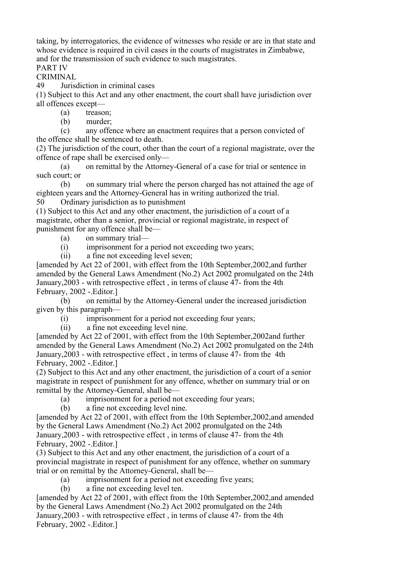taking, by interrogatories, the evidence of witnesses who reside or are in that state and whose evidence is required in civil cases in the courts of magistrates in Zimbabwe, and for the transmission of such evidence to such magistrates.

PART IV

CRIMINAL

49 Jurisdiction in criminal cases

(1) Subject to this Act and any other enactment, the court shall have jurisdiction over all offences except—

(a) treason;

(b) murder;

 (c) any offence where an enactment requires that a person convicted of the offence shall be sentenced to death.

(2) The jurisdiction of the court, other than the court of a regional magistrate, over the offence of rape shall be exercised only—

 (a) on remittal by the Attorney-General of a case for trial or sentence in such court; or

 (b) on summary trial where the person charged has not attained the age of eighteen years and the Attorney-General has in writing authorized the trial.

50 Ordinary jurisdiction as to punishment

(1) Subject to this Act and any other enactment, the jurisdiction of a court of a magistrate, other than a senior, provincial or regional magistrate, in respect of punishment for any offence shall be—

(a) on summary trial—

(i) imprisonment for a period not exceeding two years;

(ii) a fine not exceeding level seven;

[amended by Act 22 of 2001, with effect from the 10th September,2002,and further amended by the General Laws Amendment (No.2) Act 2002 promulgated on the 24th January,2003 - with retrospective effect , in terms of clause 47- from the 4th February, 2002 - Editor.]

 (b) on remittal by the Attorney-General under the increased jurisdiction given by this paragraph—

(i) imprisonment for a period not exceeding four years;

(ii) a fine not exceeding level nine.

[amended by Act 22 of 2001, with effect from the 10th September,2002and further amended by the General Laws Amendment (No.2) Act 2002 promulgated on the 24th January,2003 - with retrospective effect , in terms of clause 47- from the 4th February, 2002 - Editor.]

(2) Subject to this Act and any other enactment, the jurisdiction of a court of a senior magistrate in respect of punishment for any offence, whether on summary trial or on remittal by the Attorney-General, shall be—

(a) imprisonment for a period not exceeding four years;

(b) a fine not exceeding level nine.

[amended by Act 22 of 2001, with effect from the 10th September,2002,and amended by the General Laws Amendment (No.2) Act 2002 promulgated on the 24th January,2003 - with retrospective effect , in terms of clause 47- from the 4th February, 2002 - Editor.

(3) Subject to this Act and any other enactment, the jurisdiction of a court of a provincial magistrate in respect of punishment for any offence, whether on summary trial or on remittal by the Attorney-General, shall be—

(a) imprisonment for a period not exceeding five years;

(b) a fine not exceeding level ten.

[amended by Act 22 of 2001, with effect from the 10th September,2002,and amended by the General Laws Amendment (No.2) Act 2002 promulgated on the 24th January,2003 - with retrospective effect , in terms of clause 47- from the 4th February, 2002 - Editor.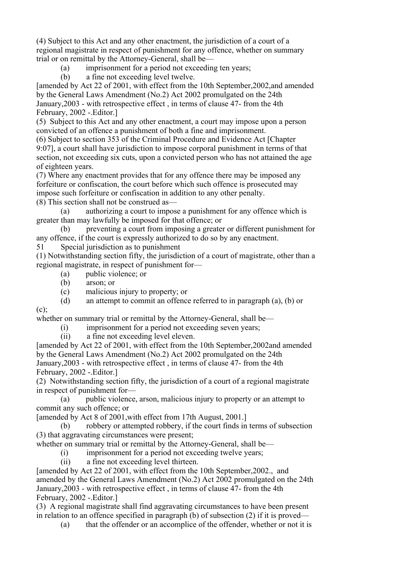(4) Subject to this Act and any other enactment, the jurisdiction of a court of a regional magistrate in respect of punishment for any offence, whether on summary trial or on remittal by the Attorney-General, shall be—

(a) imprisonment for a period not exceeding ten years;

(b) a fine not exceeding level twelve.

[amended by Act 22 of 2001, with effect from the 10th September,2002,and amended by the General Laws Amendment (No.2) Act 2002 promulgated on the 24th January,2003 - with retrospective effect , in terms of clause 47- from the 4th February, 2002 - Editor.]

(5) Subject to this Act and any other enactment, a court may impose upon a person convicted of an offence a punishment of both a fine and imprisonment.

(6) Subject to section 353 of the Criminal Procedure and Evidence Act [Chapter 9:07], a court shall have jurisdiction to impose corporal punishment in terms of that section, not exceeding six cuts, upon a convicted person who has not attained the age of eighteen years.

(7) Where any enactment provides that for any offence there may be imposed any forfeiture or confiscation, the court before which such offence is prosecuted may impose such forfeiture or confiscation in addition to any other penalty. (8) This section shall not be construed as—

 (a) authorizing a court to impose a punishment for any offence which is greater than may lawfully be imposed for that offence; or

 (b) preventing a court from imposing a greater or different punishment for any offence, if the court is expressly authorized to do so by any enactment.

51 Special jurisdiction as to punishment

(1) Notwithstanding section fifty, the jurisdiction of a court of magistrate, other than a regional magistrate, in respect of punishment for—

- (a) public violence; or
- (b) arson; or

 $(c)$ :

(c) malicious injury to property; or

(d) an attempt to commit an offence referred to in paragraph (a), (b) or

whether on summary trial or remittal by the Attorney-General, shall be—

(i) imprisonment for a period not exceeding seven years;

(ii) a fine not exceeding level eleven.

[amended by Act 22 of 2001, with effect from the 10th September,2002and amended by the General Laws Amendment (No.2) Act 2002 promulgated on the 24th January,2003 - with retrospective effect , in terms of clause 47- from the 4th February, 2002 - Editor.

(2) Notwithstanding section fifty, the jurisdiction of a court of a regional magistrate in respect of punishment for—

 (a) public violence, arson, malicious injury to property or an attempt to commit any such offence; or

[amended by Act 8 of 2001,with effect from 17th August, 2001.]

 (b) robbery or attempted robbery, if the court finds in terms of subsection (3) that aggravating circumstances were present;

whether on summary trial or remittal by the Attorney-General, shall be—

(i) imprisonment for a period not exceeding twelve years;

(ii) a fine not exceeding level thirteen.

[amended by Act 22 of 2001, with effect from the 10th September,2002., and amended by the General Laws Amendment (No.2) Act 2002 promulgated on the 24th January,2003 - with retrospective effect , in terms of clause 47- from the 4th February, 2002 - Editor.

(3) A regional magistrate shall find aggravating circumstances to have been present in relation to an offence specified in paragraph (b) of subsection (2) if it is proved—

(a) that the offender or an accomplice of the offender, whether or not it is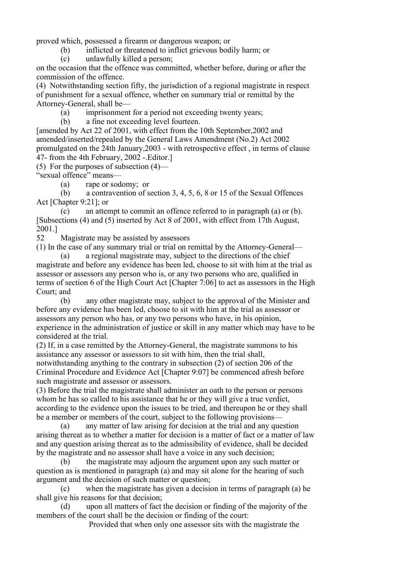proved which, possessed a firearm or dangerous weapon; or

(b) inflicted or threatened to inflict grievous bodily harm; or

(c) unlawfully killed a person;

on the occasion that the offence was committed, whether before, during or after the commission of the offence.

(4) Notwithstanding section fifty, the jurisdiction of a regional magistrate in respect of punishment for a sexual offence, whether on summary trial or remittal by the Attorney-General, shall be—

(a) imprisonment for a period not exceeding twenty years;

(b) a fine not exceeding level fourteen.

[amended by Act 22 of 2001, with effect from the 10th September,2002 and amended/inserted/repealed by the General Laws Amendment (No.2) Act 2002 promulgated on the 24th January,2003 - with retrospective effect , in terms of clause 47- from the 4th February, 2002 -.Editor.]

(5) For the purposes of subsection (4)—

"sexual offence" means—

(a) rape or sodomy; or

 (b) a contravention of section 3, 4, 5, 6, 8 or 15 of the Sexual Offences Act [Chapter 9:21]; or

 (c) an attempt to commit an offence referred to in paragraph (a) or (b). [Subsections (4) and (5) inserted by Act 8 of 2001, with effect from 17th August, 2001.]

52 Magistrate may be assisted by assessors

(1) In the case of any summary trial or trial on remittal by the Attorney-General—

 (a) a regional magistrate may, subject to the directions of the chief magistrate and before any evidence has been led, choose to sit with him at the trial as assessor or assessors any person who is, or any two persons who are, qualified in terms of section 6 of the High Court Act [Chapter 7:06] to act as assessors in the High Court; and

 (b) any other magistrate may, subject to the approval of the Minister and before any evidence has been led, choose to sit with him at the trial as assessor or assessors any person who has, or any two persons who have, in his opinion, experience in the administration of justice or skill in any matter which may have to be considered at the trial.

(2) If, in a case remitted by the Attorney-General, the magistrate summons to his assistance any assessor or assessors to sit with him, then the trial shall, notwithstanding anything to the contrary in subsection (2) of section 206 of the

Criminal Procedure and Evidence Act [Chapter 9:07] be commenced afresh before such magistrate and assessor or assessors.

(3) Before the trial the magistrate shall administer an oath to the person or persons whom he has so called to his assistance that he or they will give a true verdict, according to the evidence upon the issues to be tried, and thereupon he or they shall be a member or members of the court, subject to the following provisions—

 (a) any matter of law arising for decision at the trial and any question arising thereat as to whether a matter for decision is a matter of fact or a matter of law and any question arising thereat as to the admissibility of evidence, shall be decided by the magistrate and no assessor shall have a voice in any such decision;

 (b) the magistrate may adjourn the argument upon any such matter or question as is mentioned in paragraph (a) and may sit alone for the hearing of such argument and the decision of such matter or question;

 (c) when the magistrate has given a decision in terms of paragraph (a) he shall give his reasons for that decision;

 (d) upon all matters of fact the decision or finding of the majority of the members of the court shall be the decision or finding of the court:

Provided that when only one assessor sits with the magistrate the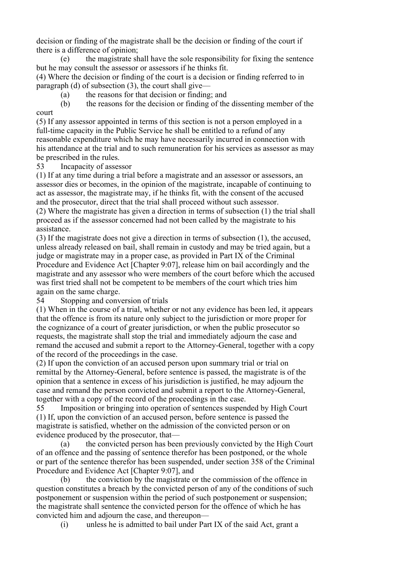decision or finding of the magistrate shall be the decision or finding of the court if there is a difference of opinion;

 (e) the magistrate shall have the sole responsibility for fixing the sentence but he may consult the assessor or assessors if he thinks fit.

(4) Where the decision or finding of the court is a decision or finding referred to in paragraph (d) of subsection  $(3)$ , the court shall give—

(a) the reasons for that decision or finding; and

 (b) the reasons for the decision or finding of the dissenting member of the court

(5) If any assessor appointed in terms of this section is not a person employed in a full-time capacity in the Public Service he shall be entitled to a refund of any reasonable expenditure which he may have necessarily incurred in connection with his attendance at the trial and to such remuneration for his services as assessor as may be prescribed in the rules.

53 Incapacity of assessor

(1) If at any time during a trial before a magistrate and an assessor or assessors, an assessor dies or becomes, in the opinion of the magistrate, incapable of continuing to act as assessor, the magistrate may, if he thinks fit, with the consent of the accused and the prosecutor, direct that the trial shall proceed without such assessor.

(2) Where the magistrate has given a direction in terms of subsection (1) the trial shall proceed as if the assessor concerned had not been called by the magistrate to his assistance.

(3) If the magistrate does not give a direction in terms of subsection (1), the accused, unless already released on bail, shall remain in custody and may be tried again, but a judge or magistrate may in a proper case, as provided in Part IX of the Criminal Procedure and Evidence Act [Chapter 9:07], release him on bail accordingly and the magistrate and any assessor who were members of the court before which the accused was first tried shall not be competent to be members of the court which tries him again on the same charge.

54 Stopping and conversion of trials

(1) When in the course of a trial, whether or not any evidence has been led, it appears that the offence is from its nature only subject to the jurisdiction or more proper for the cognizance of a court of greater jurisdiction, or when the public prosecutor so requests, the magistrate shall stop the trial and immediately adjourn the case and remand the accused and submit a report to the Attorney-General, together with a copy of the record of the proceedings in the case.

(2) If upon the conviction of an accused person upon summary trial or trial on remittal by the Attorney-General, before sentence is passed, the magistrate is of the opinion that a sentence in excess of his jurisdiction is justified, he may adjourn the case and remand the person convicted and submit a report to the Attorney-General, together with a copy of the record of the proceedings in the case.

55 Imposition or bringing into operation of sentences suspended by High Court (1) If, upon the conviction of an accused person, before sentence is passed the magistrate is satisfied, whether on the admission of the convicted person or on evidence produced by the prosecutor, that—

 (a) the convicted person has been previously convicted by the High Court of an offence and the passing of sentence therefor has been postponed, or the whole or part of the sentence therefor has been suspended, under section 358 of the Criminal Procedure and Evidence Act [Chapter 9:07], and

 (b) the conviction by the magistrate or the commission of the offence in question constitutes a breach by the convicted person of any of the conditions of such postponement or suspension within the period of such postponement or suspension; the magistrate shall sentence the convicted person for the offence of which he has convicted him and adjourn the case, and thereupon—

(i) unless he is admitted to bail under Part IX of the said Act, grant a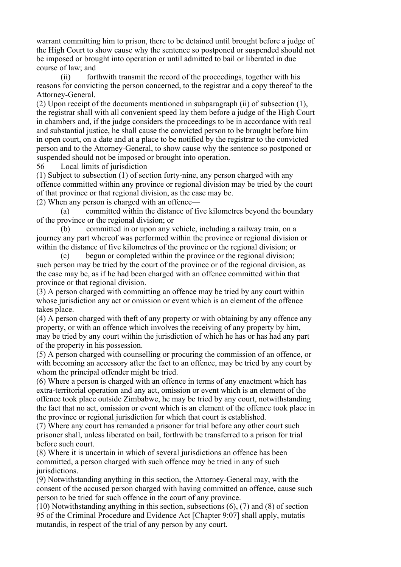warrant committing him to prison, there to be detained until brought before a judge of the High Court to show cause why the sentence so postponed or suspended should not be imposed or brought into operation or until admitted to bail or liberated in due course of law; and

 (ii) forthwith transmit the record of the proceedings, together with his reasons for convicting the person concerned, to the registrar and a copy thereof to the Attorney-General.

(2) Upon receipt of the documents mentioned in subparagraph (ii) of subsection (1), the registrar shall with all convenient speed lay them before a judge of the High Court in chambers and, if the judge considers the proceedings to be in accordance with real and substantial justice, he shall cause the convicted person to be brought before him in open court, on a date and at a place to be notified by the registrar to the convicted person and to the Attorney-General, to show cause why the sentence so postponed or suspended should not be imposed or brought into operation.

56 Local limits of jurisdiction

(1) Subject to subsection (1) of section forty-nine, any person charged with any offence committed within any province or regional division may be tried by the court of that province or that regional division, as the case may be.

(2) When any person is charged with an offence—

 (a) committed within the distance of five kilometres beyond the boundary of the province or the regional division; or

 (b) committed in or upon any vehicle, including a railway train, on a journey any part whereof was performed within the province or regional division or within the distance of five kilometres of the province or the regional division; or

 (c) begun or completed within the province or the regional division; such person may be tried by the court of the province or of the regional division, as the case may be, as if he had been charged with an offence committed within that province or that regional division.

(3) A person charged with committing an offence may be tried by any court within whose jurisdiction any act or omission or event which is an element of the offence takes place.

(4) A person charged with theft of any property or with obtaining by any offence any property, or with an offence which involves the receiving of any property by him, may be tried by any court within the jurisdiction of which he has or has had any part of the property in his possession.

(5) A person charged with counselling or procuring the commission of an offence, or with becoming an accessory after the fact to an offence, may be tried by any court by whom the principal offender might be tried.

(6) Where a person is charged with an offence in terms of any enactment which has extra-territorial operation and any act, omission or event which is an element of the offence took place outside Zimbabwe, he may be tried by any court, notwithstanding the fact that no act, omission or event which is an element of the offence took place in the province or regional jurisdiction for which that court is established.

(7) Where any court has remanded a prisoner for trial before any other court such prisoner shall, unless liberated on bail, forthwith be transferred to a prison for trial before such court.

(8) Where it is uncertain in which of several jurisdictions an offence has been committed, a person charged with such offence may be tried in any of such *jurisdictions* 

(9) Notwithstanding anything in this section, the Attorney-General may, with the consent of the accused person charged with having committed an offence, cause such person to be tried for such offence in the court of any province.

(10) Notwithstanding anything in this section, subsections (6), (7) and (8) of section 95 of the Criminal Procedure and Evidence Act [Chapter 9:07] shall apply, mutatis mutandis, in respect of the trial of any person by any court.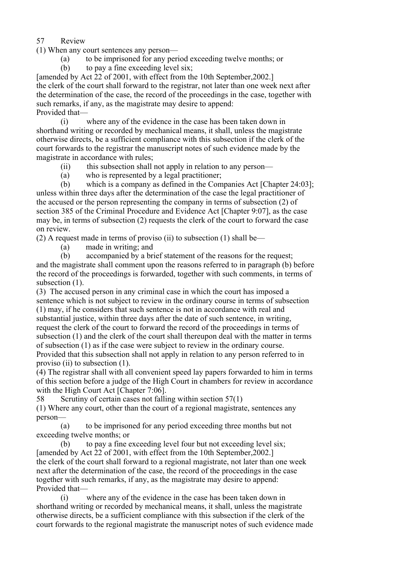57 Review

(1) When any court sentences any person—

- (a) to be imprisoned for any period exceeding twelve months; or
- (b) to pay a fine exceeding level six;

[amended by Act 22 of 2001, with effect from the 10th September, 2002.] the clerk of the court shall forward to the registrar, not later than one week next after the determination of the case, the record of the proceedings in the case, together with such remarks, if any, as the magistrate may desire to append: Provided that—

 (i) where any of the evidence in the case has been taken down in shorthand writing or recorded by mechanical means, it shall, unless the magistrate otherwise directs, be a sufficient compliance with this subsection if the clerk of the court forwards to the registrar the manuscript notes of such evidence made by the magistrate in accordance with rules;

- (ii) this subsection shall not apply in relation to any person—
- (a) who is represented by a legal practitioner;

 (b) which is a company as defined in the Companies Act [Chapter 24:03]; unless within three days after the determination of the case the legal practitioner of the accused or the person representing the company in terms of subsection (2) of section 385 of the Criminal Procedure and Evidence Act [Chapter 9:07], as the case may be, in terms of subsection (2) requests the clerk of the court to forward the case on review.

(2) A request made in terms of proviso (ii) to subsection (1) shall be—

- (a) made in writing; and
- (b) accompanied by a brief statement of the reasons for the request;

and the magistrate shall comment upon the reasons referred to in paragraph (b) before the record of the proceedings is forwarded, together with such comments, in terms of subsection  $(1)$ .

(3) The accused person in any criminal case in which the court has imposed a sentence which is not subject to review in the ordinary course in terms of subsection (1) may, if he considers that such sentence is not in accordance with real and substantial justice, within three days after the date of such sentence, in writing, request the clerk of the court to forward the record of the proceedings in terms of subsection (1) and the clerk of the court shall thereupon deal with the matter in terms of subsection (1) as if the case were subject to review in the ordinary course. Provided that this subsection shall not apply in relation to any person referred to in proviso (ii) to subsection (1).

(4) The registrar shall with all convenient speed lay papers forwarded to him in terms of this section before a judge of the High Court in chambers for review in accordance with the High Court Act [Chapter 7:06].

58 Scrutiny of certain cases not falling within section 57(1)

(1) Where any court, other than the court of a regional magistrate, sentences any person—

 (a) to be imprisoned for any period exceeding three months but not exceeding twelve months; or

 (b) to pay a fine exceeding level four but not exceeding level six; [amended by Act 22 of 2001, with effect from the 10th September,2002.] the clerk of the court shall forward to a regional magistrate, not later than one week next after the determination of the case, the record of the proceedings in the case together with such remarks, if any, as the magistrate may desire to append: Provided that—

 (i) where any of the evidence in the case has been taken down in shorthand writing or recorded by mechanical means, it shall, unless the magistrate otherwise directs, be a sufficient compliance with this subsection if the clerk of the court forwards to the regional magistrate the manuscript notes of such evidence made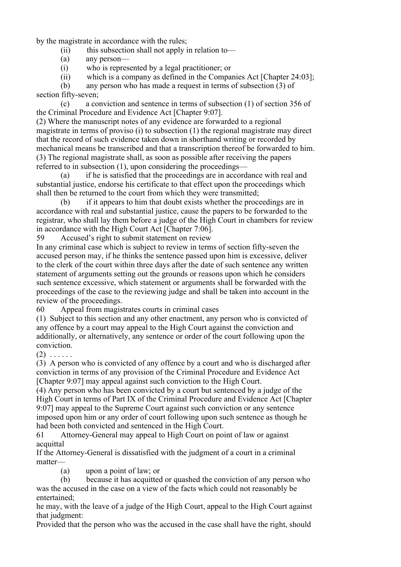by the magistrate in accordance with the rules;

 $(ii)$  this subsection shall not apply in relation to—

(a) any person—

(i) who is represented by a legal practitioner; or

(ii) which is a company as defined in the Companies Act [Chapter 24:03];

 (b) any person who has made a request in terms of subsection (3) of section fifty-seven;

 (c) a conviction and sentence in terms of subsection (1) of section 356 of the Criminal Procedure and Evidence Act [Chapter 9:07].

(2) Where the manuscript notes of any evidence are forwarded to a regional magistrate in terms of proviso (i) to subsection (1) the regional magistrate may direct that the record of such evidence taken down in shorthand writing or recorded by mechanical means be transcribed and that a transcription thereof be forwarded to him. (3) The regional magistrate shall, as soon as possible after receiving the papers referred to in subsection (1), upon considering the proceedings—

 (a) if he is satisfied that the proceedings are in accordance with real and substantial justice, endorse his certificate to that effect upon the proceedings which shall then be returned to the court from which they were transmitted;

 (b) if it appears to him that doubt exists whether the proceedings are in accordance with real and substantial justice, cause the papers to be forwarded to the registrar, who shall lay them before a judge of the High Court in chambers for review in accordance with the High Court Act [Chapter 7:06].

59 Accused's right to submit statement on review

In any criminal case which is subject to review in terms of section fifty-seven the accused person may, if he thinks the sentence passed upon him is excessive, deliver to the clerk of the court within three days after the date of such sentence any written statement of arguments setting out the grounds or reasons upon which he considers such sentence excessive, which statement or arguments shall be forwarded with the proceedings of the case to the reviewing judge and shall be taken into account in the review of the proceedings.

60 Appeal from magistrates courts in criminal cases

(1) Subject to this section and any other enactment, any person who is convicted of any offence by a court may appeal to the High Court against the conviction and additionally, or alternatively, any sentence or order of the court following upon the conviction.

 $(2)$  . . . . . .

(3) A person who is convicted of any offence by a court and who is discharged after conviction in terms of any provision of the Criminal Procedure and Evidence Act [Chapter 9:07] may appeal against such conviction to the High Court.

(4) Any person who has been convicted by a court but sentenced by a judge of the High Court in terms of Part IX of the Criminal Procedure and Evidence Act [Chapter 9:07] may appeal to the Supreme Court against such conviction or any sentence imposed upon him or any order of court following upon such sentence as though he had been both convicted and sentenced in the High Court.

61 Attorney-General may appeal to High Court on point of law or against acquittal

If the Attorney-General is dissatisfied with the judgment of a court in a criminal matter—

(a) upon a point of law; or

 (b) because it has acquitted or quashed the conviction of any person who was the accused in the case on a view of the facts which could not reasonably be entertained;

he may, with the leave of a judge of the High Court, appeal to the High Court against that judgment:

Provided that the person who was the accused in the case shall have the right, should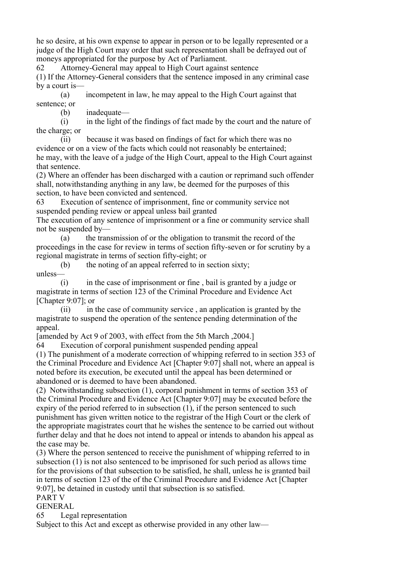he so desire, at his own expense to appear in person or to be legally represented or a judge of the High Court may order that such representation shall be defrayed out of moneys appropriated for the purpose by Act of Parliament.

62 Attorney-General may appeal to High Court against sentence

(1) If the Attorney-General considers that the sentence imposed in any criminal case by a court is—

 (a) incompetent in law, he may appeal to the High Court against that sentence; or

(b) inadequate—

 (i) in the light of the findings of fact made by the court and the nature of the charge; or

 (ii) because it was based on findings of fact for which there was no evidence or on a view of the facts which could not reasonably be entertained; he may, with the leave of a judge of the High Court, appeal to the High Court against

that sentence. (2) Where an offender has been discharged with a caution or reprimand such offender shall, notwithstanding anything in any law, be deemed for the purposes of this section, to have been convicted and sentenced.

63 Execution of sentence of imprisonment, fine or community service not suspended pending review or appeal unless bail granted

The execution of any sentence of imprisonment or a fine or community service shall not be suspended by—

 (a) the transmission of or the obligation to transmit the record of the proceedings in the case for review in terms of section fifty-seven or for scrutiny by a regional magistrate in terms of section fifty-eight; or

 (b) the noting of an appeal referred to in section sixty; unless—

 (i) in the case of imprisonment or fine , bail is granted by a judge or magistrate in terms of section 123 of the Criminal Procedure and Evidence Act [Chapter 9:07]; or

 (ii) in the case of community service , an application is granted by the magistrate to suspend the operation of the sentence pending determination of the appeal.

[amended by Act 9 of 2003, with effect from the 5th March ,2004.]

64 Execution of corporal punishment suspended pending appeal

(1) The punishment of a moderate correction of whipping referred to in section 353 of the Criminal Procedure and Evidence Act [Chapter 9:07] shall not, where an appeal is noted before its execution, be executed until the appeal has been determined or abandoned or is deemed to have been abandoned.

(2) Notwithstanding subsection (1), corporal punishment in terms of section 353 of the Criminal Procedure and Evidence Act [Chapter 9:07] may be executed before the expiry of the period referred to in subsection (1), if the person sentenced to such punishment has given written notice to the registrar of the High Court or the clerk of the appropriate magistrates court that he wishes the sentence to be carried out without further delay and that he does not intend to appeal or intends to abandon his appeal as the case may be.

(3) Where the person sentenced to receive the punishment of whipping referred to in subsection (1) is not also sentenced to be imprisoned for such period as allows time for the provisions of that subsection to be satisfied, he shall, unless he is granted bail in terms of section 123 of the of the Criminal Procedure and Evidence Act [Chapter 9:07], be detained in custody until that subsection is so satisfied.

#### PART V GENERAL

65 Legal representation

Subject to this Act and except as otherwise provided in any other law—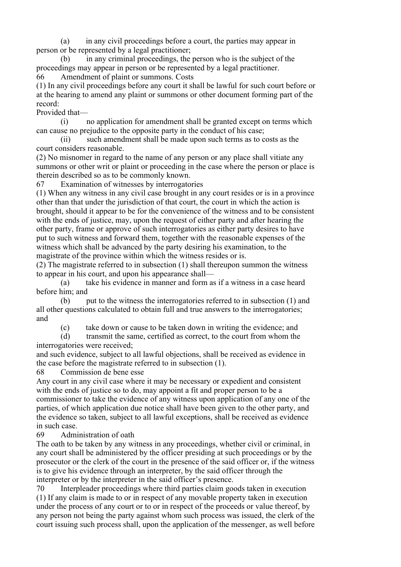(a) in any civil proceedings before a court, the parties may appear in person or be represented by a legal practitioner;

 (b) in any criminal proceedings, the person who is the subject of the proceedings may appear in person or be represented by a legal practitioner. 66 Amendment of plaint or summons. Costs

(1) In any civil proceedings before any court it shall be lawful for such court before or at the hearing to amend any plaint or summons or other document forming part of the record:

Provided that—

 (i) no application for amendment shall be granted except on terms which can cause no prejudice to the opposite party in the conduct of his case;

 (ii) such amendment shall be made upon such terms as to costs as the court considers reasonable.

(2) No misnomer in regard to the name of any person or any place shall vitiate any summons or other writ or plaint or proceeding in the case where the person or place is therein described so as to be commonly known.

67 Examination of witnesses by interrogatories

(1) When any witness in any civil case brought in any court resides or is in a province other than that under the jurisdiction of that court, the court in which the action is brought, should it appear to be for the convenience of the witness and to be consistent with the ends of justice, may, upon the request of either party and after hearing the other party, frame or approve of such interrogatories as either party desires to have put to such witness and forward them, together with the reasonable expenses of the witness which shall be advanced by the party desiring his examination, to the magistrate of the province within which the witness resides or is.

(2) The magistrate referred to in subsection (1) shall thereupon summon the witness to appear in his court, and upon his appearance shall—

 (a) take his evidence in manner and form as if a witness in a case heard before him; and

 (b) put to the witness the interrogatories referred to in subsection (1) and all other questions calculated to obtain full and true answers to the interrogatories; and

(c) take down or cause to be taken down in writing the evidence; and

 (d) transmit the same, certified as correct, to the court from whom the interrogatories were received;

and such evidence, subject to all lawful objections, shall be received as evidence in the case before the magistrate referred to in subsection (1).

68 Commission de bene esse

Any court in any civil case where it may be necessary or expedient and consistent with the ends of justice so to do, may appoint a fit and proper person to be a commissioner to take the evidence of any witness upon application of any one of the parties, of which application due notice shall have been given to the other party, and the evidence so taken, subject to all lawful exceptions, shall be received as evidence in such case.

69 Administration of oath

The oath to be taken by any witness in any proceedings, whether civil or criminal, in any court shall be administered by the officer presiding at such proceedings or by the prosecutor or the clerk of the court in the presence of the said officer or, if the witness is to give his evidence through an interpreter, by the said officer through the interpreter or by the interpreter in the said officer's presence.

70 Interpleader proceedings where third parties claim goods taken in execution (1) If any claim is made to or in respect of any movable property taken in execution under the process of any court or to or in respect of the proceeds or value thereof, by any person not being the party against whom such process was issued, the clerk of the court issuing such process shall, upon the application of the messenger, as well before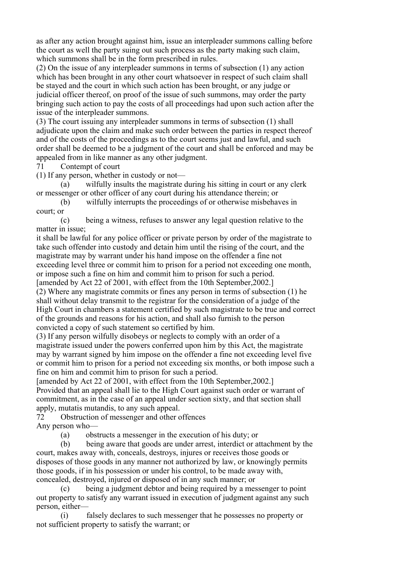as after any action brought against him, issue an interpleader summons calling before the court as well the party suing out such process as the party making such claim, which summons shall be in the form prescribed in rules.

(2) On the issue of any interpleader summons in terms of subsection (1) any action which has been brought in any other court whatsoever in respect of such claim shall be stayed and the court in which such action has been brought, or any judge or judicial officer thereof, on proof of the issue of such summons, may order the party bringing such action to pay the costs of all proceedings had upon such action after the issue of the interpleader summons.

(3) The court issuing any interpleader summons in terms of subsection (1) shall adjudicate upon the claim and make such order between the parties in respect thereof and of the costs of the proceedings as to the court seems just and lawful, and such order shall be deemed to be a judgment of the court and shall be enforced and may be appealed from in like manner as any other judgment.

71 Contempt of court

(1) If any person, whether in custody or not—

 (a) wilfully insults the magistrate during his sitting in court or any clerk or messenger or other officer of any court during his attendance therein; or

 (b) wilfully interrupts the proceedings of or otherwise misbehaves in court; or

 (c) being a witness, refuses to answer any legal question relative to the matter in issue;

it shall be lawful for any police officer or private person by order of the magistrate to take such offender into custody and detain him until the rising of the court, and the magistrate may by warrant under his hand impose on the offender a fine not exceeding level three or commit him to prison for a period not exceeding one month, or impose such a fine on him and commit him to prison for such a period.

[amended by Act 22 of 2001, with effect from the 10th September,2002.] (2) Where any magistrate commits or fines any person in terms of subsection (1) he shall without delay transmit to the registrar for the consideration of a judge of the High Court in chambers a statement certified by such magistrate to be true and correct of the grounds and reasons for his action, and shall also furnish to the person convicted a copy of such statement so certified by him.

(3) If any person wilfully disobeys or neglects to comply with an order of a magistrate issued under the powers conferred upon him by this Act, the magistrate may by warrant signed by him impose on the offender a fine not exceeding level five or commit him to prison for a period not exceeding six months, or both impose such a fine on him and commit him to prison for such a period.

[amended by Act 22 of 2001, with effect from the 10th September,2002.] Provided that an appeal shall lie to the High Court against such order or warrant of commitment, as in the case of an appeal under section sixty, and that section shall apply, mutatis mutandis, to any such appeal.

72 Obstruction of messenger and other offences Any person who—

(a) obstructs a messenger in the execution of his duty; or

 (b) being aware that goods are under arrest, interdict or attachment by the court, makes away with, conceals, destroys, injures or receives those goods or disposes of those goods in any manner not authorized by law, or knowingly permits those goods, if in his possession or under his control, to be made away with, concealed, destroyed, injured or disposed of in any such manner; or

 (c) being a judgment debtor and being required by a messenger to point out property to satisfy any warrant issued in execution of judgment against any such person, either—

 (i) falsely declares to such messenger that he possesses no property or not sufficient property to satisfy the warrant; or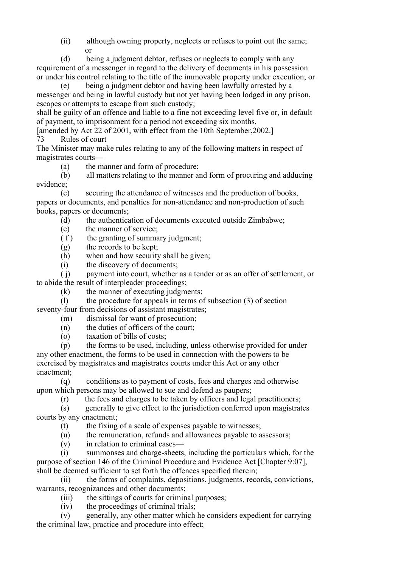(ii) although owning property, neglects or refuses to point out the same; or

 (d) being a judgment debtor, refuses or neglects to comply with any requirement of a messenger in regard to the delivery of documents in his possession or under his control relating to the title of the immovable property under execution; or

 (e) being a judgment debtor and having been lawfully arrested by a messenger and being in lawful custody but not yet having been lodged in any prison, escapes or attempts to escape from such custody;

shall be guilty of an offence and liable to a fine not exceeding level five or, in default of payment, to imprisonment for a period not exceeding six months.

[amended by Act 22 of 2001, with effect from the 10th September,2002.] 73 Rules of court

The Minister may make rules relating to any of the following matters in respect of magistrates courts—

(a) the manner and form of procedure;

 (b) all matters relating to the manner and form of procuring and adducing evidence;

 (c) securing the attendance of witnesses and the production of books, papers or documents, and penalties for non-attendance and non-production of such books, papers or documents;

(d) the authentication of documents executed outside Zimbabwe;

(e) the manner of service;

 $(f)$  the granting of summary judgment;

(g) the records to be kept;

(h) when and how security shall be given;

(i) the discovery of documents;

 ( j) payment into court, whether as a tender or as an offer of settlement, or to abide the result of interpleader proceedings;

(k) the manner of executing judgments;

 (l) the procedure for appeals in terms of subsection (3) of section seventy-four from decisions of assistant magistrates;

- (m) dismissal for want of prosecution;
- (n) the duties of officers of the court;
- $(a)$  taxation of bills of costs;

 (p) the forms to be used, including, unless otherwise provided for under any other enactment, the forms to be used in connection with the powers to be exercised by magistrates and magistrates courts under this Act or any other enactment;

 (q) conditions as to payment of costs, fees and charges and otherwise upon which persons may be allowed to sue and defend as paupers;

(r) the fees and charges to be taken by officers and legal practitioners;

 (s) generally to give effect to the jurisdiction conferred upon magistrates courts by any enactment;

(t) the fixing of a scale of expenses payable to witnesses;

- (u) the remuneration, refunds and allowances payable to assessors;
- (v) in relation to criminal cases—

 (i) summonses and charge-sheets, including the particulars which, for the purpose of section 146 of the Criminal Procedure and Evidence Act [Chapter 9:07], shall be deemed sufficient to set forth the offences specified therein;

 (ii) the forms of complaints, depositions, judgments, records, convictions, warrants, recognizances and other documents;

(iii) the sittings of courts for criminal purposes;

(iv) the proceedings of criminal trials;

 (v) generally, any other matter which he considers expedient for carrying the criminal law, practice and procedure into effect;